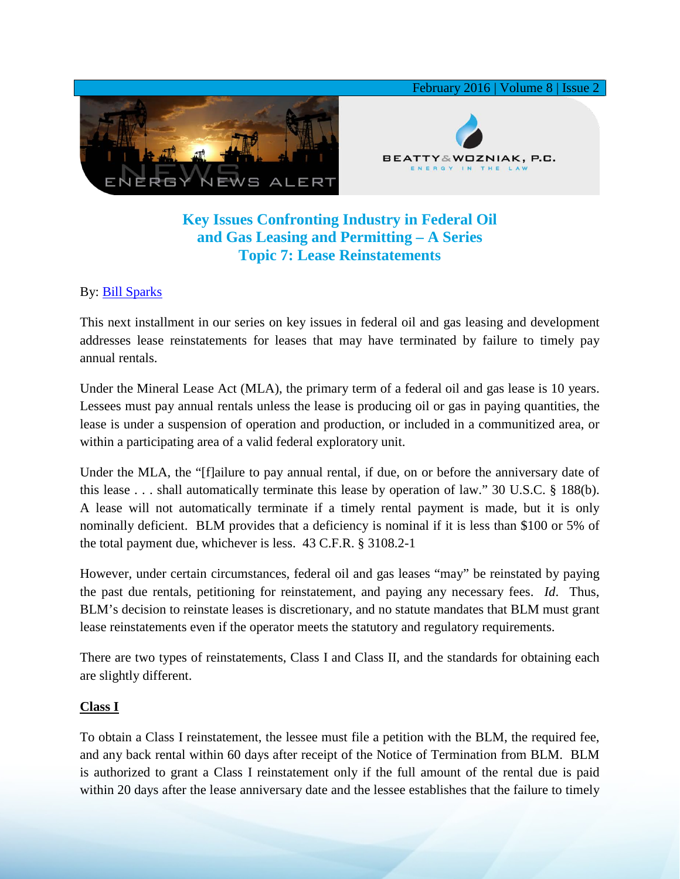

# **Key Issues Confronting Industry in Federal Oil and Gas Leasing and Permitting – A Series Topic 7: Lease Reinstatements**

### By: [Bill Sparks](http://www.bwenergylaw.com/#!william-sparks/c1ynl)

This next installment in our series on key issues in federal oil and gas leasing and development addresses lease reinstatements for leases that may have terminated by failure to timely pay annual rentals.

Under the Mineral Lease Act (MLA), the primary term of a federal oil and gas lease is 10 years. Lessees must pay annual rentals unless the lease is producing oil or gas in paying quantities, the lease is under a suspension of operation and production, or included in a communitized area, or within a participating area of a valid federal exploratory unit.

Under the MLA, the "[f]ailure to pay annual rental, if due, on or before the anniversary date of this lease . . . shall automatically terminate this lease by operation of law." 30 U.S.C. § 188(b). A lease will not automatically terminate if a timely rental payment is made, but it is only nominally deficient. BLM provides that a deficiency is nominal if it is less than \$100 or 5% of the total payment due, whichever is less. 43 C.F.R. § 3108.2-1

However, under certain circumstances, federal oil and gas leases "may" be reinstated by paying the past due rentals, petitioning for reinstatement, and paying any necessary fees. *Id*. Thus, BLM's decision to reinstate leases is discretionary, and no statute mandates that BLM must grant lease reinstatements even if the operator meets the statutory and regulatory requirements.

There are two types of reinstatements, Class I and Class II, and the standards for obtaining each are slightly different.

#### **Class I**

To obtain a Class I reinstatement, the lessee must file a petition with the BLM, the required fee, and any back rental within 60 days after receipt of the Notice of Termination from BLM. BLM is authorized to grant a Class I reinstatement only if the full amount of the rental due is paid within 20 days after the lease anniversary date and the lessee establishes that the failure to timely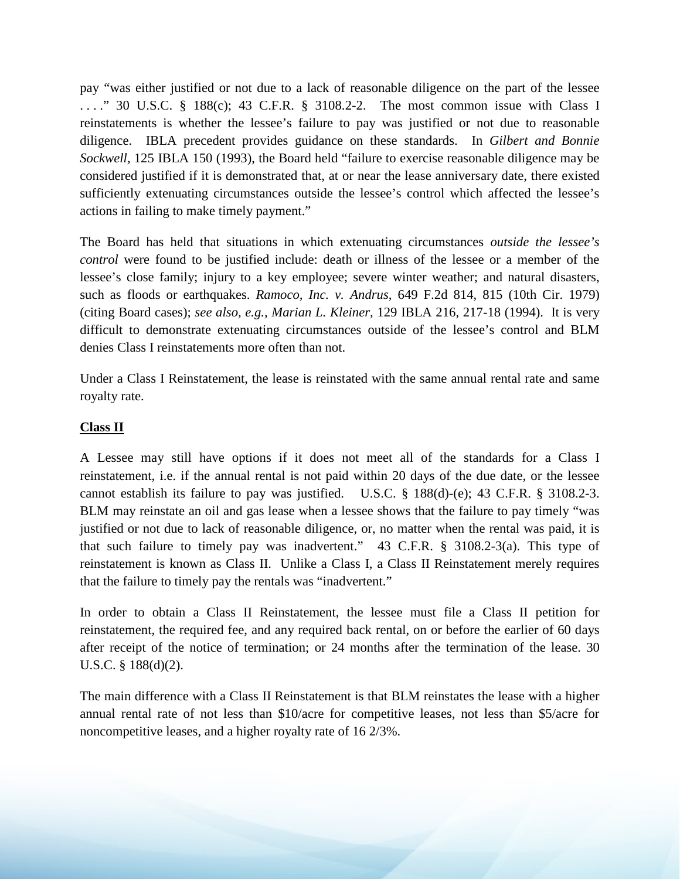pay "was either justified or not due to a lack of reasonable diligence on the part of the lessee ...." 30 U.S.C. § 188(c); 43 C.F.R. § 3108.2-2. The most common issue with Class I reinstatements is whether the lessee's failure to pay was justified or not due to reasonable diligence. IBLA precedent provides guidance on these standards. In *Gilbert and Bonnie Sockwell,* 125 IBLA 150 (1993), the Board held "failure to exercise reasonable diligence may be considered justified if it is demonstrated that, at or near the lease anniversary date, there existed sufficiently extenuating circumstances outside the lessee's control which affected the lessee's actions in failing to make timely payment."

The Board has held that situations in which extenuating circumstances *outside the lessee's control* were found to be justified include: death or illness of the lessee or a member of the lessee's close family; injury to a key employee; severe winter weather; and natural disasters, such as floods or earthquakes. *Ramoco, Inc. v. Andrus,* 649 F.2d 814, 815 (10th Cir. 1979) (citing Board cases); *see also, e.g., Marian L. Kleiner,* 129 IBLA 216, 217-18 (1994). It is very difficult to demonstrate extenuating circumstances outside of the lessee's control and BLM denies Class I reinstatements more often than not.

Under a Class I Reinstatement, the lease is reinstated with the same annual rental rate and same royalty rate.

#### **Class II**

A Lessee may still have options if it does not meet all of the standards for a Class I reinstatement, i.e. if the annual rental is not paid within 20 days of the due date, or the lessee cannot establish its failure to pay was justified. U.S.C. § 188(d)-(e); 43 C.F.R. § 3108.2-3. BLM may reinstate an oil and gas lease when a lessee shows that the failure to pay timely "was justified or not due to lack of reasonable diligence, or, no matter when the rental was paid, it is that such failure to timely pay was inadvertent." 43 C.F.R. § 3108.2-3(a). This type of reinstatement is known as Class II. Unlike a Class I, a Class II Reinstatement merely requires that the failure to timely pay the rentals was "inadvertent."

In order to obtain a Class II Reinstatement, the lessee must file a Class II petition for reinstatement, the required fee, and any required back rental, on or before the earlier of 60 days after receipt of the notice of termination; or 24 months after the termination of the lease. 30 U.S.C. § 188(d)(2).

The main difference with a Class II Reinstatement is that BLM reinstates the lease with a higher annual rental rate of not less than \$10/acre for competitive leases, not less than \$5/acre for noncompetitive leases, and a higher royalty rate of 16 2/3%.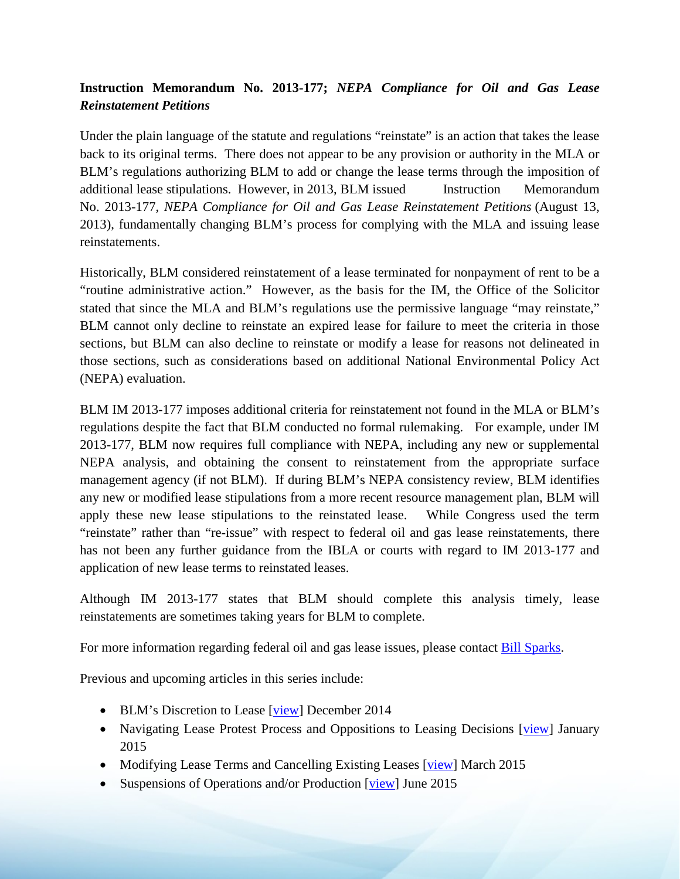## **Instruction Memorandum No. 2013-177;** *NEPA Compliance for Oil and Gas Lease Reinstatement Petitions*

Under the plain language of the statute and regulations "reinstate" is an action that takes the lease back to its original terms. There does not appear to be any provision or authority in the MLA or BLM's regulations authorizing BLM to add or change the lease terms through the imposition of additional lease stipulations. However, in 2013, BLM issued Instruction Memorandum No. 2013-177, *NEPA Compliance for Oil and Gas Lease Reinstatement Petitions* (August 13, 2013), fundamentally changing BLM's process for complying with the MLA and issuing lease reinstatements.

Historically, BLM considered reinstatement of a lease terminated for nonpayment of rent to be a "routine administrative action." However, as the basis for the IM, the Office of the Solicitor stated that since the MLA and BLM's regulations use the permissive language "may reinstate," BLM cannot only decline to reinstate an expired lease for failure to meet the criteria in those sections, but BLM can also decline to reinstate or modify a lease for reasons not delineated in those sections, such as considerations based on additional National Environmental Policy Act (NEPA) evaluation.

BLM IM 2013-177 imposes additional criteria for reinstatement not found in the MLA or BLM's regulations despite the fact that BLM conducted no formal rulemaking. For example, under IM 2013-177, BLM now requires full compliance with NEPA, including any new or supplemental NEPA analysis, and obtaining the consent to reinstatement from the appropriate surface management agency (if not BLM). If during BLM's NEPA consistency review, BLM identifies any new or modified lease stipulations from a more recent resource management plan, BLM will apply these new lease stipulations to the reinstated lease. While Congress used the term "reinstate" rather than "re-issue" with respect to federal oil and gas lease reinstatements, there has not been any further guidance from the IBLA or courts with regard to IM 2013-177 and application of new lease terms to reinstated leases.

Although IM 2013-177 states that BLM should complete this analysis timely, lease reinstatements are sometimes taking years for BLM to complete.

For more information regarding federal oil and gas lease issues, please contact [Bill Sparks.](http://www.bwenergylaw.com/#!william-sparks/c1ynl)

Previous and upcoming articles in this series include:

- BLM's Discretion to Lease [\[view\]](http://media.wix.com/ugd/2f2374_7e8c2530d05043c7bfa4209523f17c69.pdf) December 2014
- Navigating Lease Protest Process and Oppositions to Leasing Decisions [\[view\]](http://media.wix.com/ugd/2f2374_f27c90dd4e944c5694ac583ab21e911d.pdf) January 2015
- Modifying Lease Terms and Cancelling Existing Leases [\[view\]](http://media.wix.com/ugd/2f2374_db1a3e89233342bdb66b2b7ec72c60d6.pdf) March 2015
- Suspensions of Operations and/or Production [\[view\]](http://media.wix.com/ugd/2f2374_6f3fb480dfa84e698cce4686ebf582f2.pdf) June 2015